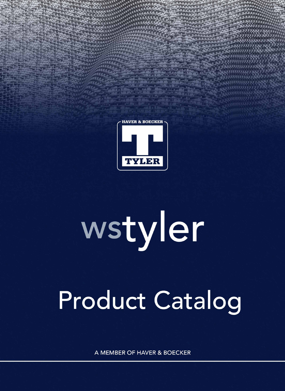

# wstyler

# **Product Catalog**

A MEMBER OF HAVER & BOECKER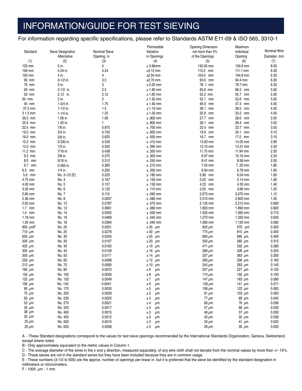# INFORMATION/GUIDE FOR TEST SIEVING

#### For information regarding specific specifications, please refer to Standards ASTM E11-09 & ISO 565, 3310-1

|                            |                                  |                               | Permissible                      | <b>Opening Dimension</b>            | Maximum                      | Nominal Wire   |
|----------------------------|----------------------------------|-------------------------------|----------------------------------|-------------------------------------|------------------------------|----------------|
| Standard                   | Sieve Designation<br>Alternative | Nominal Sieve<br>Opening, in. | Variation<br>in Openings         | not more than 5%<br>of the Openings | Individual<br>Opening        | Diameter, mm   |
| (1)                        | (2)                              | (3)                           | (4)                              | (5)                                 | (6)                          | (7)            |
| 125 mm                     | 5 in.                            | 5                             | ± 3.66mm                         | 130.00 mm                           | 130.9 mm                     | 8.00           |
| 106 mm                     | 4.24 in.                         | 4.24                          | $±3.12$ mm                       | 110.2 mm                            | 111.1 mm                     | 6.30           |
| 100 mm                     | 4 in.                            | 4                             | $±2.94$ mm                       | 104.0 mm                            | 104.8 mm                     | 6.30           |
| 90 mm                      | 3-1/2 in.                        | 3.5                           | $±2.70$ mm                       | 93.6 mm                             | 94.4 mm                      | 6.30           |
| 75 mm                      | 3 in.                            | 3                             | $± 2.20$ mm                      | 78.1 mm                             | 78.7 mm                      | 6.30           |
| 63 mm                      | $2 - 1/2$ in.                    | 2.5                           | $± 1.90$ mm                      | 65.6 mm                             | 66.2 mm                      | 5.60           |
| 53 mm                      | 2.12 in.                         | 2.12                          | $± 1.60$ mm                      | 55.2 mm                             | 55.7 mm                      | 5.00           |
| 50 mm                      | 2 in.                            | $\overline{c}$                | $± 1.50$ mm                      | 52.1 mm                             | 52.6 mm                      | 5.00           |
| 45 mm                      | 1-3/4 in.                        | 1.75                          | $± 1.40$ mm                      | 46.9 mm                             | 47.4 mm                      | 4.50           |
| 37.5 mm<br>3 1.5 mm        | $1 - 1/2$ in.<br>$1 - 1/4$ in.   | 1.5<br>1.25                   | $± 1.10$ mm<br>$± 1.00$ mm       | 39.1 mm<br>32.9 mm                  | 39.5 mm<br>33.2 mm           | 4.50<br>4.00   |
| 26.5 mm                    | 1.06 in.                         | 1.06                          | $±.800$ mm                       | 27.7 mm                             | 28.0 mm                      | 3.55           |
| 25.0 mm                    | 1.00 in.                         | $\mathbf{1}$                  | $±.800$ mm                       | 26.1 mm                             | 26.4 mm                      | 3.55           |
| 22.4 mm                    | 7/8 in.                          | 0.875                         | $±.700$ mm                       | 23.4 mm                             | 23.7 mm                      | 3.55           |
| 19.0 mm                    | 3/4 in.                          | 0.750                         | $±.600$ mm                       | 19.9 mm                             | 20.1 mm                      | 3.15           |
| 16.0 mm                    | 5/8 in.                          | 0.625                         | $±.500$ mm                       | 16.7 mm                             | 17.0 mm                      | 3.15           |
| 13.2 mm                    | 0.530 in.                        | 0.530                         | $±.410$ mm                       | 13.83 mm                            | 14.05 mm                     | 2.80           |
| 12.5 mm                    | $1/2$ in.                        | 0.500                         | $±.390$ mm                       | 13.10 mm                            | 13.31 mm                     | 2.50           |
| $11.2$ mm                  | 7/16 in.                         | 0.438                         | $±.350$ mm                       | 11.75 mm                            | 11.94 mm                     | 2.50           |
| $9.5$ mm                   | 3/8 in.                          | 0.375                         | $±.300$ mm                       | 9.97 mm                             | 10.16 mm                     | 2.24           |
| 8.0<br>mm                  | 5/16 in.                         | 0.312                         | $±.250$ mm                       | 8.41 mm                             | 8.58 mm                      | 2.00           |
| 6.7 mm                     | 0.265 in.                        | 0.265                         | $±.210$ mm                       | 7.05 mm                             | 7.20 mm                      | 1.80           |
| 6.3 mm                     | $1/4$ in.                        | 0.250                         | $±.200$ mm                       | 6.64 mm                             | 6.78 mm                      | 1.80           |
| 5.6 mm                     | No. 3-1/2 (E)                    | 0.223<br>0.187                | $±.180$ mm<br>$±.150$ mm         | 5.90 mm<br>5.02 mm                  | $6.04 \text{ mm}$<br>5.14 mm | 1.60<br>1.60   |
| 4.75 mm<br>4.00 mm         | No. 4<br>No. 5                   | 0.157                         | $±.130$ mm                       | 4.23 mm                             | 4.35 mm                      | 1.40           |
| 3.35 mm                    | No. 6                            | 0.132                         | $±.110$ mm                       | 3.55 mm                             | 3.66 mm                      | 1.25           |
| 2.80 mm                    | No. 7                            | 0.110                         | $±.095$ mm                       | 2.975 mm                            | 3.070 mm                     | 1.12           |
| 2.36 mm                    | No. 8                            | 0.0937                        | $±.080$ mm                       | 2.515 mm                            | 2.600 mm                     | 1.00           |
| $2.00$ mm                  | No. 10                           | 0.0787                        | $±.070$ mm                       | 2.135 mm                            | 2.215 mm                     | 0.900          |
| $1.7$ mm                   | No. 12                           | 0.0661                        | $±.060$ mm                       | 1.820 mm                            | 1.890 mm                     | 0.800          |
| $1.4$ mm                   | No. 14                           | 0.0555                        | $±.050$ mm                       | 1.505 mm                            | 1.565 mm                     | 0.710          |
| $1.18$ mm                  | No. 16                           | 0.0469                        | $±.045$ mm                       | 1.270 mm                            | 1.330 mm                     | 0.630          |
| $1.00$ mm                  | No. 18                           | 0.0394                        | $±.040$ mm                       | 1.080 mm                            | 1.135 mm                     | 0.560          |
| 850 µmF                    | No. 20                           | 0.0331                        | $± 35$ $\mu$ m                   | 925 $\mu$ m                         | 970<br>$\mu$ m               | 0.500          |
| 710 $\mu$ m                | No. 25                           | 0.0278                        | $± 30$ $\mu$ m                   | $775 \mu m$                         | 815 $\mu$ m                  | 0.450          |
| 600 $\mu$ m                | No. 30                           | 0.0234<br>0.0197              | $± 25$ $\mu$ m                   | $660 \mu m$                         | 695 $\mu$ m                  | 0.400          |
| 500 $\mu$ m<br>425 $\mu$ m | No. 35<br>No. 40                 | 0.0165                        | $± 20$ $\mu$ m<br>±19<br>$\mu$ m | 550 $\mu$ m<br>471 $\mu$ m          | 585 $\mu$ m<br>502 $\mu$ m   | 0.315<br>0.280 |
| 355 $\mu$ m                | No. 45                           | 0.0139                        | $± 16$ $\mu$ m                   | 396 $\mu$ m                         | 426 $\mu$ m                  | 0.224          |
| 300 $\mu$ m                | No. 50                           | 0.0117                        | $± 14$ µm                        | $337 \mu m$                         | 363 $\mu$ m                  | 0.200          |
| 250 $\mu$ m                | No. 60                           | 0.0098                        | $± 12$ $\mu$ m                   | $283 \mu m$                         | $306 \mu m$                  | 0.160          |
| 212 $\mu$ m                | No. 70                           | 0.0083                        | $± 10$ µm                        | 242 $\mu$ m                         | 263 $\mu$ m                  | 0.140          |
| 180 $\mu$ m                | No. 80                           | 0.0070                        | ± 9<br>$\mu$ m                   | $207 \mu m$                         | 227 $\mu$ m                  | 0.125          |
| 150 $\mu$ m                | No. 100                          | 0.0059                        | ±8<br>$\mu$ m                    | 174 $\mu$ m                         | 192 $\mu$ m                  | 0.100          |
| 125 $\mu$ m                | No. 120                          | 0.0049                        | ±7<br>$\mu$ m                    | 147 $\mu$ m                         | 163 $\mu$ m                  | 0.090          |
| 106 $\mu$ m                | No. 140                          | 0.0041                        | ± 6<br>$\mu$ m                   | 126 $\mu$ m                         | 141 $\mu$ m                  | 0.071          |
| 90 $\mu$ m                 | No. 170                          | 0.0035                        | ± 5<br>$\mu$ m                   | 108 $\mu$ m                         | 122 $\mu$ m                  | 0.063          |
| 75 µm                      | No. 200                          | 0.0029                        | ± 5<br>$\mu$ m                   | 91 µm                               | 103 $\mu$ m                  | 0.050          |
| 63 µm                      | No. 230                          | 0.0025                        | ±4<br>$\mu$ m                    | $77 \mu m$                          | 89 $\mu$ m                   | 0.045          |
| 53 $\mu$ m                 | No. 270<br>No. 325               | 0.0021<br>0.0017              | ±4<br>$\mu$ m                    | 66 µm                               | 76 µm                        | 0.036<br>0.032 |
| 45 $\mu$ m<br>38 µm        | No. 400                          | 0.0015                        | ±3<br>$\mu$ m<br>$\pm\,3$        | $57 \mu m$<br>$48 \mu m$            | 66 $\mu$ m<br>57 $\mu$ m     | 0.030          |
| 32 µm                      | No. 450                          | 0.0012                        | $\mu$ m<br>±3<br>$\mu$ m         | 42 µm                               | 50 $\mu$ m                   | 0.028          |
| $25 \mu m$                 | No. 500                          | 0.0010                        | ±3<br>$\mu$ m                    | 34 µm                               | 41 $\mu$ m                   | 0.025          |
| $20 \mu m$                 | No. 635                          | 0.0008                        | $±3$ $\mu$ m                     | $29 \mu m$                          | $35 \mu m$                   | 0.020          |
|                            |                                  |                               |                                  |                                     |                              |                |

A - These Standard designations correspond to the values for test sieve openings recommended by the International Standards Organization, Geneva, Switzerland, except where noted.

B - Only approximately equivalent to the metric values in Column 1.

C - The average diameter of the wires in the x and y direction, measured separately, of any wire cloth shall not deviate from the nominal values by more than +/- 15%.

D - These sieves are not in the standard series but they have been included because they are in common usage.

E - These numbers (3-1/2 to 635) are the approx. number of openings per linear in. but it is preferred that the sieve be identified by the standard designation in millimeters or micronmeters.

F - 1000  $\mu$ m - 1 mm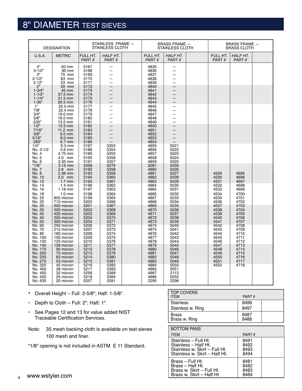| <b>DESIGNATION</b>                                                |                                                                               |                                                      | STAINLESS FRAME -<br><b>STAINLESS CLOTH</b>         | <b>BRASS FRAME -</b><br><b>STAINLESS CLOTH</b>       |                                      |  | <b>BRASS FRAME -</b><br><b>BRASS CLOTH</b> |                                      |  |
|-------------------------------------------------------------------|-------------------------------------------------------------------------------|------------------------------------------------------|-----------------------------------------------------|------------------------------------------------------|--------------------------------------|--|--------------------------------------------|--------------------------------------|--|
| U.S.A.                                                            | <b>METRIC</b>                                                                 | FULL HT.<br>PART#                                    | HALF HT.<br>PART#                                   | FULL HT.<br>PART#                                    | HALF HT.<br>PART#                    |  | FULL HT.<br>PART#                          | HALF HT.<br>PART#                    |  |
| 4"<br>$3 - 1/2"$<br>З"<br>$2 - 1/2"$<br>2.12"<br>2"<br>$1 - 3/4"$ | 00 mm<br>90 mm<br>75 mm<br>63 mm<br>53 mm<br>50 mm<br>45 mm                   | 5167<br>5168<br>5169<br>5170<br>5171<br>5172<br>5173 | —<br>$\overline{\phantom{0}}$<br>-<br>$\Rightarrow$ | 4835<br>4836<br>4837<br>4838<br>4839<br>4840<br>4841 |                                      |  |                                            |                                      |  |
| $1 - 1/2"$<br>$1 - 1/4"$<br>1.06"<br>1"                           | 37.5 mm<br>31.5 mm<br>26.5 mm<br>25.0 mm                                      | 5174<br>5175<br>5176<br>5177                         | —<br>—                                              | 4842<br>4843<br>4844<br>4845                         |                                      |  |                                            |                                      |  |
| 7/8"<br>3/4"<br>5/8"<br>.530"                                     | 22.4 mm<br>19.0 mm<br>16.0 mm<br>13.2 mm                                      | 5178<br>5179<br>5180<br>5181                         | —<br>—<br>$\overline{\phantom{0}}$                  | 4846<br>4847<br>4848<br>4849                         |                                      |  |                                            |                                      |  |
| 1/2"<br>7/16"<br>3/8"<br>5/16"<br>.265"                           | 12.5 mm<br>11.2 mm<br>$9.5 \text{ mm}$<br>8.0 mm<br>$6.7$ mm                  | 5182<br>5183<br>5184<br>5185<br>5186                 | $\overline{\phantom{0}}$                            | 4850<br>4851<br>4852<br>4853<br>4854                 |                                      |  |                                            |                                      |  |
| 1/4"<br>No. 3-1/2<br>No. 4<br>No. 5<br>No. 6                      | $6.3 \text{ mm}$<br>5.6 mm<br>4.75 mm<br>4.0 mm<br>3.35 mm                    | 5187<br>5188<br>5189<br>5190<br>5191                 | 5353<br>5354<br>5355<br>5356<br>5357                | 4855<br>4856<br>4857<br>4858<br>4859                 | 5021<br>5022<br>5023<br>5024<br>5025 |  |                                            |                                      |  |
| *1/8"<br>No. 7<br>No. 8<br>No. 10<br>No. 12                       | 3.15 mm<br>2.8 mm<br>2.36 mm<br>2.0 mm<br>$1.7$ mm                            | 2058<br>5192<br>5193<br>5194<br>5195                 | 3279<br>5358<br>5359<br>5360<br>5361                | 3281<br>4860<br>4861<br>4862<br>4863                 | 2059<br>5026<br>5027<br>5028<br>5029 |  | 4529<br>4530<br>4531                       | 4695<br>4696<br>4697                 |  |
| No. 14<br>No. 16<br>No. 18<br>No. 20<br>No. 25                    | $1.4 \text{ mm}$<br>$1.18$ mm<br>$1.0 \text{ mm}$<br>850 micron<br>710 micron | 5196<br>5197<br>5198<br>5199<br>5200                 | 5362<br>5363<br>5364<br>5365<br>5366                | 4864<br>4865<br>4866<br>4867<br>4868                 | 5030<br>5031<br>5032<br>5033<br>5034 |  | 4532<br>4533<br>4534<br>4535<br>4536       | 4698<br>4699<br>4700<br>4701<br>4702 |  |
| No. 30<br>No. 35<br>No. 40<br>No. 45<br>No. 50                    | 600 micron<br>500 micron<br>425 micron<br>355 micron<br>300 micron            | 5201<br>5202<br>5203<br>5204<br>5205                 | 5367<br>5368<br>5369<br>5370<br>5371                | 4869<br>4870<br>4871<br>4872<br>4873                 | 5035<br>5036<br>5037<br>5038<br>5039 |  | 4537<br>4538<br>4539<br>4540<br>4541       | 4703<br>4704<br>4705<br>4706<br>4707 |  |
| No. 60<br>No. 70<br>No. 80<br>No. 100<br>No. 120                  | 250 micron<br>212 micron<br>180 micron<br>150 micron<br>125 micron            | 5206<br>5207<br>5208<br>5209<br>5210                 | 5372<br>5373<br>5374<br>5375<br>5376                | 4874<br>4875<br>4876<br>4877<br>4878                 | 5040<br>5041<br>5042<br>5043<br>5044 |  | 4542<br>4543<br>4544<br>4545<br>4546       | 4708<br>4709<br>4710<br>4711<br>4712 |  |
| No. 140<br>No. 170<br>No. 200<br>No. 230<br>No. 270               | 106 micron<br>90 micron<br>75 micron<br>63 micron<br>53 micron                | 5211<br>5212<br>5213<br>5214<br>5215                 | 5377<br>5378<br>5379<br>5380<br>5381                | 4879<br>4880<br>4881<br>4882<br>4883                 | 5045<br>5046<br>5047<br>5048<br>5049 |  | 4547<br>4548<br>4549<br>4550<br>4551       | 4713<br>4714<br>4715<br>4716<br>4717 |  |
| No. 325<br>No. 400<br>No. 450<br>No. 500<br>No. 635               | 45 micron<br>38 micron<br>32 micron<br>25 micron<br>20 micron                 | 5216<br>5217<br>5256<br>5218<br>5257                 | 5382<br>5383<br>5389<br>5384<br>5391                | 4884<br>4885<br>4887<br>4886<br>2295                 | 5050<br>5051<br>2113<br>5052<br>2296 |  | 4552                                       | 4718                                 |  |

- Overall Height Full: 2-5/8"; Half: 1-5/8".
- Depth to Cloth Full: 2"; Half: 1".
- See Pages 12 and 13 for value added NIST Traceable Certification Services.
- Note: 35 mesh backing cloth is available on test sieves 100 mesh and finer.

\*1/8" opening is not included in ASTM E 11 Standard.

| TOP COVERS<br><b>ITEM</b>      | PART#        |  |
|--------------------------------|--------------|--|
| Stainless<br>Stainless w. Ring | 8496<br>8497 |  |
| . Brass<br>Brass w. Ring       | 8487<br>8488 |  |

| <b>BOTTOM PANS</b>            |       |
|-------------------------------|-------|
| <b>ITEM</b>                   | PART# |
| Stainless - Full Ht.          | 8491  |
| Stainless - Half Ht.          | 8492  |
| Stainless w. Skirt - Full Ht. | 8493  |
| Stainless w. Skirt - Half Ht. | 8494  |
| Brass – Full Ht.              | 8481  |
| Brass - Half Ht.              | 8482  |
| Brass w. Skirt - Full Ht.     | 8483  |
| Brass w. Skirt - Half Ht.     | 8484  |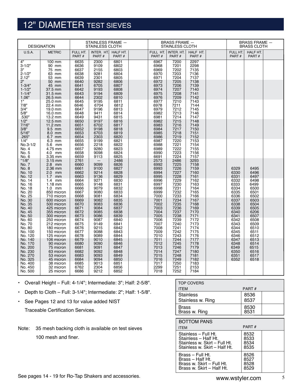| <b>DESIGNATION</b>                                                |                                                                             |                                              | STAINLESS FRAME -<br><b>STAINLESS CLOTH</b>  |                                              |                                              | <b>BRASS FRAME -</b><br>STAINLESS CLOTH      |                                              |                                              | <b>BRASS FRAME -</b><br><b>BRASS CLOTH</b>   |  |
|-------------------------------------------------------------------|-----------------------------------------------------------------------------|----------------------------------------------|----------------------------------------------|----------------------------------------------|----------------------------------------------|----------------------------------------------|----------------------------------------------|----------------------------------------------|----------------------------------------------|--|
| <b>U.S.A.</b>                                                     | <b>METRIC</b>                                                               | FULL HT.<br>PART#                            | INTER. HT.<br>PART#                          | HALF HT.<br>PART#                            | FULL HT.<br>PART#                            | INTER. HT.<br>PART#                          | HALF HT.<br>PART#                            | FULL HT.<br>PART#                            | HALF HT.<br>PART#                            |  |
| 4"<br>$3 - 1/2"$<br>$3"$<br>$2 - 1/2"$<br>2.12"                   | 100 mm<br>90 mm<br>75 mm<br>63 mm<br>53 mm                                  | 6635<br>6636<br>6637<br>6638<br>6639         | 2300<br>9109<br>2155<br>9281<br>2301         | 6801<br>6802<br>6803<br>6804<br>6805         | 6967<br>6968<br>6969<br>6970<br>6971         | 7200<br>7201<br>7202<br>7203<br>7204         | 2297<br>2298<br>7135<br>7136<br>7137         |                                              |                                              |  |
| 2 <sup>n</sup><br>$1 - 3/4"$<br>$1 - 1/2"$<br>$1 - 1/4"$<br>1.06" | 50 mm<br>45 mm<br>37.5 mm<br>31.5 mm<br>26.5 mm                             | 6640<br>6641<br>6642<br>6643<br>6644         | 9282<br>6705<br>9193<br>9194<br>2302         | 6806<br>6807<br>6808<br>6809<br>6810         | 6972<br>6973<br>6974<br>6975<br>6976         | 7205<br>7206<br>7207<br>7208<br>7209         | 7138<br>7139<br>7140<br>7141<br>7142         |                                              |                                              |  |
| 1"<br>7/8"<br>3/4"<br>5/8"<br>.530"                               | 25.0 mm<br>22.4 mm<br>19.0 mm<br>16.0 mm<br>13.2 mm                         | 6645<br>6646<br>6647<br>6648<br>6649         | 9195<br>6704<br>9196<br>9411<br>9431         | 6811<br>6812<br>6813<br>6814<br>6815         | 6977<br>6978<br>6979<br>6982<br>6981         | 7210<br>7211<br>7212<br>7213<br>7214         | 7143<br>7144<br>7145<br>7146<br>7147<br>7148 |                                              |                                              |  |
| 1/2"<br>7/16"<br>3/8"<br>5/16"<br>.265"                           | 12.5 mm<br>11.2 mm<br>9.5 mm<br>8.0 mm<br>6.7 mm                            | 6650<br>6651<br>6652<br>6653<br>6654         | 9197<br>6702<br>9198<br>6703<br>2303         | 6816<br>6817<br>6818<br>6819<br>6820         | 6982<br>6983<br>6984<br>6985<br>6986         | 7215<br>7216<br>7217<br>7218<br>7219         | 7149<br>7150<br>7151<br>7152                 |                                              |                                              |  |
| 1/4"<br>No.3-1/2<br>No. 4<br>No. 5<br>No. 6                       | 6.3 mm<br>5.6 mm<br>4.75 mm<br>4.0 mm<br>3.35 mm                            | 6655<br>6656<br>6657<br>6658<br>6659         | 9199<br>2218<br>9280<br>9098<br>9113         | 6821<br>6822<br>6823<br>6824<br>6825         | 6987<br>6988<br>6989<br>6990<br>6691         | 7220<br>7221<br>7222<br>7223<br>7224         | 7153<br>7154<br>7155<br>7156<br>7157         |                                              |                                              |  |
| $*1/8"$<br>No. 7<br>No. 8<br>No. 10<br>No. 12                     | 3.15 mm<br>2.8 mm<br>2.36 mm<br>2.0 mm<br>$1.7$ mm                          | 2761<br>6660<br>6661<br>6662<br>6663         | 9099<br>9100<br>9214<br>9136                 | 2486<br>6826<br>6827<br>6828<br>6829         | 2573<br>6992<br>6993<br>6994<br>6995         | 2486<br>7225<br>7226<br>7227<br>7228         | 3293<br>7158<br>7159<br>7160<br>7161         | 6329<br>6330<br>6331                         | 6495<br>6496<br>6497                         |  |
| No. 14<br>No. 16<br>No. 18<br>No. 20<br>No. 25                    | $1.4$ mm<br>1.18 mm<br>$1.0$ mm<br>850 micron<br>710 micron                 | 6664<br>6665<br>6666<br>6667<br>6668         | 9271<br>9148<br>9079<br>9080<br>9081         | 6830<br>6831<br>6832<br>6833<br>6834         | 6996<br>6997<br>6998<br>6999<br>7000         | 7229<br>7230<br>7231<br>7232<br>7233         | 7162<br>7163<br>7164<br>7165<br>7166         | 6332<br>6333<br>6334<br>6335<br>6336         | 6498<br>6499<br>6500<br>6501<br>6502         |  |
| No. 30<br>No. 35<br>No. 40<br>No. 45<br>No. 50                    | 600 micron<br>500 micron<br>425 micron<br>355 micron<br>300 micron          | 6669<br>6670<br>6671<br>6672<br>6673         | 9082<br>9083<br>9084<br>9085<br>9086         | 6835<br>6836<br>6837<br>6838<br>6839         | 7001<br>7002<br>7003<br>7004<br>7005         | 7234<br>7235<br>7236<br>7237<br>7238         | 7167<br>7168<br>7169<br>7170<br>7171         | 6337<br>6338<br>6339<br>6340<br>6341         | 6503<br>6504<br>6505<br>6206<br>6507         |  |
| No. 60<br>No. 70<br>No. 80<br>No. 100<br>No. 120                  | 250 micron<br>212 micron<br>180 micron<br>150 micron<br>125 micron          | 6674<br>6675<br>6676<br>6677<br>6678         | 9087<br>9149<br>9215<br>9088<br>9089         | 6840<br>6841<br>6842<br>6843<br>6844         | 7006<br>7007<br>7008<br>7009<br>7010         | 7239<br>7240<br>7241<br>7242<br>7243         | 7172<br>7173<br>7174<br>7175<br>7176         | 6342<br>6343<br>6344<br>6345<br>6346         | 6508<br>6509<br>6510<br>6511<br>6512         |  |
| No. 140<br>No. 170<br>No. 200<br>No. 230<br>No. 270<br>No. 325    | 106 micron<br>90 micron<br>75 micron<br>63 micron<br>53 micron<br>45 micron | 6679<br>6680<br>6681<br>6682<br>6683<br>6684 | 9010<br>9090<br>9091<br>9092<br>9093<br>9094 | 6845<br>6846<br>6847<br>6848<br>6849<br>6850 | 7011<br>7012<br>7013<br>7014<br>7015<br>7016 | 7244<br>7245<br>7246<br>7247<br>7248<br>7249 | 7177<br>7178<br>7179<br>7180<br>7181<br>7182 | 6347<br>6348<br>6349<br>6350<br>6351<br>6352 | 6513<br>6514<br>6515<br>6516<br>6517<br>6518 |  |
| No. 400<br>No. 450<br>No. 500                                     | 38 micron<br>32 micron<br>25 micron                                         | 6685<br>6762<br>6686                         | 9013<br>2304<br>9212                         | 6851<br>6856<br>6852                         | 7017<br>2299<br>7018                         | 7250<br>7251<br>7252                         | 7183<br>2153<br>7184                         |                                              |                                              |  |

• Overall Height – Full: 4-1/4"; Intermediate: 3"; Half: 2-5/8".

- Depth to Cloth Full: 3-1/4"; Intermediate: 2"; Half: 1-5/8".
- See Pages 12 and 13 for value added NIST Traceable Certification Services.

Note: 35 mesh backing cloth is available on test sieves 100 mesh and finer.

| <b>TOP COVERS</b> |       |
|-------------------|-------|
| <b>ITEM</b>       | PART# |
| <b>Stainless</b>  | 8536  |
| Stainless w. Ring | 8537  |
| <b>Brass</b>      | 8530  |
| Brass w. Ring     | 8531  |

| <b>BOTTOM PANS</b>                                                                                             |                              |  |
|----------------------------------------------------------------------------------------------------------------|------------------------------|--|
| <b>ITEM</b>                                                                                                    | PART#                        |  |
| Stainless - Full Ht.<br>Stainless - Half Ht.<br>Stainless w. Skirt - Full Ht.<br>Stainless w. Skirt - Half Ht. | 8532<br>8533<br>8534<br>8535 |  |
| Brass - Full Ht.<br>Brass - Half Ht.<br>Brass w. Skirt - Full Ht.<br>Brass w. Skirt - Half Ht.                 | 8526<br>8527<br>8528<br>8529 |  |

See pages 14 - 19 for Ro-Tap Shakers and accessories. The See pages 14 - 19 for Ro-Tap Shakers and accessories.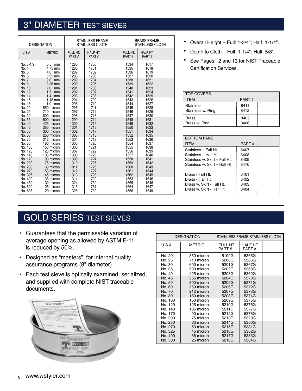| <b>DESIGNATION</b>                                  |                                                                    | STAINLESS FRAME -<br><b>STAINLESS CLOTH</b> |                                      |  | <b>BRASS FRAME -</b><br><b>STAINLESS CLOTH</b> |                                      |  |  |
|-----------------------------------------------------|--------------------------------------------------------------------|---------------------------------------------|--------------------------------------|--|------------------------------------------------|--------------------------------------|--|--|
| U.S.A                                               | <b>METRIC</b>                                                      | FULL HT.<br>PART#                           | HALF HT.<br>PART#                    |  | FULL HT.<br>PART#                              | HALF HT.<br>PART#                    |  |  |
| No. 3-1/2<br>No. 4<br>No. 5<br>No. 6                | 5.6 mm<br>4.75 mm<br>4.0 mm<br>3.35 mm                             | 1285<br>1286<br>1287<br>1288                | 1700<br>1701<br>1702<br>1703         |  | 1534<br>1535<br>1536<br>1537                   | 1617<br>1618<br>1619<br>1620         |  |  |
| No. 7<br>No. 8<br>No. 10<br>No. 12<br>No. 14        | 2.8 mm<br>2.36 mm<br>2.0<br>mm<br>1.7<br>mm<br>1.4<br>mm           | 1289<br>1290<br>1291<br>1292<br>1293        | 1704<br>1705<br>1706<br>1707<br>1708 |  | 1538<br>1539<br>1540<br>1541<br>1542           | 1621<br>1622<br>1623<br>1624<br>1625 |  |  |
| No. 16<br>No. 18<br>No. 20<br>No. 25<br>No. 30      | $1.18$ mm<br>$1.0$ mm<br>850 micron<br>710 micron<br>600 micron    | 1294<br>1295<br>1296<br>1297<br>1298        | 1709<br>1710<br>1711<br>1712<br>1713 |  | 1543<br>1544<br>1545<br>1546<br>1547           | 1626<br>1627<br>1628<br>1629<br>1630 |  |  |
| No. 35<br>No. 40<br>No. 45<br>No. 50<br>No. 60      | 500 micron<br>425 micron<br>355 micron<br>300 micron<br>250 micron | 1299<br>1300<br>1301<br>1302<br>1303        | 1714<br>1715<br>1716<br>1717<br>1718 |  | 1548<br>1549<br>1550<br>1551<br>1552           | 1631<br>1632<br>1633<br>1634<br>1635 |  |  |
| No. 70<br>No. 80<br>No. 100<br>No. 120<br>No. 140   | 212 micron<br>180 micron<br>150 micron<br>125 micron<br>106 micron | 1304<br>1305<br>1306<br>1307<br>1308        | 1719<br>1720<br>1721<br>1722<br>1723 |  | 1553<br>1554<br>1555<br>1556<br>1557           | 1636<br>1637<br>1638<br>1639<br>1640 |  |  |
| No. 170<br>No. 200<br>No. 230<br>No. 270<br>No. 325 | 90 micron<br>75 micron<br>63 micron<br>53 micron<br>45 micron      | 1309<br>1310<br>1311<br>1312<br>1313        | 1724<br>1725<br>1726<br>1727<br>1728 |  | 1558<br>1559<br>1560<br>1561<br>1562           | 1641<br>1642<br>1643<br>1644<br>1645 |  |  |
| No. 400<br>No. 450<br>No. 500<br>No. 635            | 38 micron<br>32 micron<br>25 micron<br>20 micron                   | 1314<br>1324<br>1315<br>1325                | 1729<br>1730<br>1731<br>1732         |  | 1563<br>1565<br>1564<br>1566                   | 1646<br>1648<br>1647<br>1649         |  |  |

- Overall Height Full: 1-3/4"; Half: 1-1/4".
- Depth to Cloth Full: 1-1/4"; Half: 5/8".
- See Pages 12 and 13 for NIST Traceable Certification Services.

| <b>TOP COVERS</b>                     |              |  |
|---------------------------------------|--------------|--|
| <b>ITEM</b>                           | PART#        |  |
| <b>Stainless</b><br>Stainless w. Ring | 8411<br>8412 |  |
| <b>Brass</b><br>Brass w. Ring         | 8405<br>8406 |  |

| <b>BOTTOM PANS</b>            |       |  |
|-------------------------------|-------|--|
| <b>ITEM</b>                   | PART# |  |
| Stainless - Full Ht.          | 8407  |  |
| Stainless - Half Ht.          | 8408  |  |
| Stainless w Skirt - Full Ht   | 8409  |  |
| Stainless w. Skirt - Half Ht. | 8410  |  |
| Brass - Full Ht.              | 8401  |  |
| Brass - Half Ht               | 8402  |  |
| Brass w. Skirt - Full Ht      | 8403  |  |
| Brass w. Skirt - Half Ht.     | 8404  |  |
|                               |       |  |

#### GOLD SERIES TEST SIEVES

- Guarantees that the permissable variation of average opening as allowed by ASTM E-11 is reduced by 50%.
- Designed as "masters" for internal quality assurance programs (8" diameter).
- Each test sieve is optically examined, serialized, and supplied with complete NIST traceable documents.



|         | <b>DESIGNATION</b> | STAINLESS FRAME-STAINLESS CLOTH |                   |  |  |
|---------|--------------------|---------------------------------|-------------------|--|--|
| U.S.A.  | <b>METRIC</b>      | FULL HT.<br>PART#               | HALF HT.<br>PART# |  |  |
| No. 20  | 850 micron         | 5199G                           | 5365G             |  |  |
| No. 25  | 710 micron         | 5200G                           | 5366G             |  |  |
| No. 30  | 600 micron         | 5201G                           | 5367G             |  |  |
| No. 35  | 500 micron         | 5202G                           | 5368G             |  |  |
| No. 40  | 425 micron         | 5203G                           | 5369G             |  |  |
| No. 45  | 355 micron         | 5204G                           | 5370G             |  |  |
| No. 50  | 300 micron         | 5205G                           | 5371G             |  |  |
| No. 60  | 250 micron         | 5206G                           | 5372G             |  |  |
| No. 70  | 212 micron         | 5207G                           | 5373G             |  |  |
| No. 80  | 180 micron         | 5208G                           | 5374G             |  |  |
| No. 100 | 150 micron         | 5209G                           | 5375G             |  |  |
| No. 120 | 125 micron         | 5210G                           | 5376G             |  |  |
| No. 140 | 106 micron         | 5211G                           | 5377G             |  |  |
| No. 170 | 90 micron          | 5212G                           | 5378G             |  |  |
| No. 200 | 75 micron          | 5213G                           | 5379G             |  |  |
| No. 230 | 63 micron          | 5214G                           | 5380G             |  |  |
| No. 270 | 53 micron          | 5215G                           | 5381G             |  |  |
| No. 325 | 45 micron          | 5216G                           | 5382G             |  |  |
| No. 400 | 38 micron          | 5217G                           | 5383G             |  |  |
| No. 500 | 25 micron          | 5218G                           | 5384G             |  |  |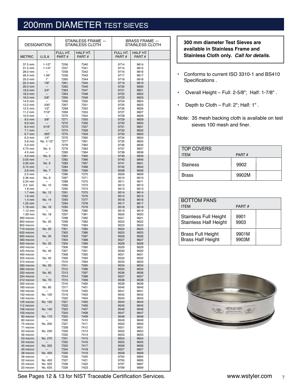| <b>DESIGNATION</b>           |                    | STAINLESS FRAME -<br><b>STAINLESS CLOTH</b> |                   |  | <b>BRASS FRAME -</b><br><b>STAINLESS CLOTH</b> |                   |  |
|------------------------------|--------------------|---------------------------------------------|-------------------|--|------------------------------------------------|-------------------|--|
| <b>METRIC</b>                | U.S.A              | FULL HT.<br>PART#                           | HALF HT.<br>PART# |  | FULL HT.<br>PART#                              | HALF HT.<br>PART# |  |
| 37.5 mm                      | $1 - 1/2"$         | 7256                                        | 7340              |  | 9714                                           | 9814              |  |
| 31.5 mm                      | $1 - 1/4"$         | 7257                                        | 7341              |  | 9715                                           | 9815              |  |
| 28.0 mm                      |                    | 7258                                        | 7342              |  | 9716                                           | 9816              |  |
| 26.5 mm<br>25.0 mm           | 1.06"<br>1"        | 7259<br>7260                                | 7343<br>7344      |  | 9717<br>9718                                   | 9817<br>9818      |  |
| 22.4 mm                      | 7/8"               | 7261                                        | 7345              |  | 9719                                           | 9819              |  |
| 20.0 mm                      |                    | 7262                                        | 7346              |  | 9720                                           | 9820              |  |
| 19.0 mm                      | 3/4"               | 7363                                        | 7347              |  | 9721                                           | 9821              |  |
| 18.0 mm                      |                    | 7264                                        | 7348              |  | 9722                                           | 9822              |  |
| 16.0 mm<br>14.0 mm           | 5/8"               | 7265<br>7266                                | 7349<br>7350      |  | 9723<br>9724                                   | 9823<br>9824      |  |
| 13.2 mm                      | .530"              | 7267                                        | 7351              |  | 9725                                           | 9825              |  |
| 12.5 mm                      | 1/2"               | 7268                                        | 7352              |  | 9726                                           | 9826              |  |
| 11.2 mm                      | 7/16"              | 7269                                        | 7353              |  | 9727                                           | 9827              |  |
| 10.0 mm<br>$9.5$ mm          | 3/8"               | 7270<br>7271                                | 7354<br>7355      |  | 9728<br>9729                                   | 9828<br>9829      |  |
| $9.0 \text{ mm}$             |                    | 7272                                        | 7356              |  | 9730                                           | 9830              |  |
| 8.0 mm                       | 5/16"              | 7273                                        | 7357              |  | 9731                                           | 9831              |  |
| $7.1 \text{ mm}$             |                    | 7274                                        | 7358              |  | 9732                                           | 9832              |  |
| 6.7 mm                       | .265"              | 7275                                        | 7359              |  | 9733                                           | 9833              |  |
| 6.3 mm<br>5.6 mm             | 1/4"<br>No. 3 1/2" | 7276<br>7277                                | 7360<br>7361      |  | 9734<br>9735                                   | 9834<br>9835      |  |
| $5.0 \text{ mm}$             |                    | 7278                                        | 7362              |  | 9736                                           | 9836              |  |
| 4.75 mm                      | No. 4              | 7279                                        | 7363              |  | 9737                                           | 9837              |  |
| 4.5 mm                       |                    | 7280                                        | 7364              |  | 9738                                           | 9838              |  |
| $4.0$ mm                     | No. 5              | 7281                                        | 7365              |  | 9739                                           | 9839              |  |
| 3.55 mm<br>3.35 mm           | No. 6              | 7282<br>7283                                | 7366<br>7367      |  | 9740<br>9741                                   | 9840<br>9841      |  |
| 3.15 mm                      |                    | 7284                                        | 7368              |  | 9742                                           | 9842              |  |
| $2.8$ mm                     | No. 7              | 7285                                        | 7369              |  | 9508                                           | 9608              |  |
| $2.5 \text{ mm}$             |                    | 7286                                        | 7370              |  | 9509                                           | 9609              |  |
| 2.36 mm<br>2.24 mm           | No. 8              | 7287<br>7288                                | 7371<br>7372      |  | 9510<br>9511                                   | 9610<br>9611      |  |
| $2.0$ mm                     | No. 10             | 7289                                        | 7373              |  | 9512                                           | 9612              |  |
| $1.8$ mm                     |                    | 7290                                        | 7374              |  | 9513                                           | 9613              |  |
| $1.7 \text{ mm}$             | No. 12             | 7291                                        | 7375              |  | 9514                                           | 9614              |  |
| $1.6$ mm<br>$1.4 \text{ mm}$ | No. 14             | 7292<br>7293                                | 7376<br>7377      |  | 9515<br>9516                                   | 9615<br>9616      |  |
| $1.25$ mm                    |                    | 7294                                        | 7378              |  | 9517                                           | 9617              |  |
| $1.18$ mm                    | No. 16             | 7295                                        | 7379              |  | 9518                                           | 9618              |  |
| $1.12 \text{ mm}$            |                    | 7296                                        | 7380              |  | 9519                                           | 9619              |  |
| $1.00$ mm<br>900 micron      | No. 18             | 7297<br>7298                                | 7381<br>7382      |  | 9520                                           | 9620<br>9621      |  |
| 850 micron                   | No. 20             | 7299                                        | 7383              |  | 9521<br>9522                                   | 9622              |  |
| 800 micron                   |                    | 7300                                        | 7384              |  | 9523                                           | 9623              |  |
| 710 micron                   | No. 25             | 7301                                        | 7385              |  | 9524                                           | 9624              |  |
| 630 micron<br>600 micron     |                    | 7302                                        | 7386              |  | 9525                                           | 9625              |  |
| 560 micron                   | No. 30             | 7303<br>7304                                | 7387<br>7388      |  | 9526<br>9527                                   | 9626<br>9627      |  |
| 500 micron                   | No. 35             | 7305                                        | 7389              |  | 9528                                           | 9628              |  |
| 450 micron                   |                    | 7306                                        | 7390              |  | 9529                                           | 9629              |  |
| 425 micron                   | No. 40             | 7307                                        | 7391              |  | 9530                                           | 9630              |  |
| 400 micron<br>355 micron     | No. 45             | 7308<br>7309                                | 7392<br>7393      |  | 9531<br>9532                                   | 9631<br>9632      |  |
| 315 micron                   |                    | 7310                                        | 7394              |  | 9533                                           | 9633              |  |
| 300 micron                   | No. 50             | 7311                                        | 7395              |  | 9534                                           | 9634              |  |
| 280 micron<br>250 micron     |                    | 7312                                        | 7396              |  | 9535                                           | 9635              |  |
| 224 micron                   | No. 60             | 7313<br>7314                                | 7397<br>7398      |  | 9536<br>9537                                   | 9636<br>9637      |  |
| 212 micron                   | No. 70             | 7315                                        | 7399              |  | 9538                                           | 9638              |  |
| 200 micron                   |                    | 7316                                        | 7400              |  | 9539                                           | 9639              |  |
| 180 micron<br>160 micron     | No. 80             | 7317<br>7318                                | 7401              |  | 9540                                           | 9640              |  |
| 150 micron                   | No. 100            | 7319                                        | 7402<br>7403      |  | 9541<br>9542                                   | 9641<br>9642      |  |
| 140 micron                   |                    | 7320                                        | 7404              |  | 9543                                           | 9643              |  |
| 125 micron                   | No. 120            | 7321                                        | 7405              |  | 9544                                           | 9644              |  |
| 112 micron                   |                    | 7322                                        | 7406<br>7407      |  | 9545                                           | 9645              |  |
| 106 micron<br>100 micron     | No. 140            | 7323<br>7324                                | 7408              |  | 9546<br>9547                                   | 9646<br>9647      |  |
| 90 micron                    | No. 170            | 7325                                        | 7409              |  | 9548                                           | 9648              |  |
| 80 micron                    |                    | 7326                                        | 7410              |  | 9549                                           | 9649              |  |
| 75 micron<br>71 micron       | No. 200            | 7327<br>7328                                | 7411<br>7412      |  | 9550                                           | 9650<br>9651      |  |
| 63 micron                    | No. 230            | 7329                                        | 7413              |  | 9551<br>9552                                   | 9652              |  |
| 56 micron                    |                    | 7330                                        | 7414              |  | 9553                                           | 9653              |  |
| 53 micron                    | No. 270            | 7331                                        | 7415              |  | 9554                                           | 9654              |  |
| 50 micron                    | No. 325            | 7332<br>7333                                | 7416<br>7417      |  | 9555                                           | 9655              |  |
| 45 micron<br>40 micron       |                    | 7334                                        | 7418              |  | 9556<br>9557                                   | 9656<br>9657      |  |
| 38 micron                    | No. 400            | 7335                                        | 7419              |  | 9558                                           | 9658              |  |
| 36 micron                    |                    | 7336                                        | 7420              |  | 9794                                           | 9894              |  |
| 32 micron<br>25 micron       | No. 450<br>No. 500 | 7337<br>7338                                | 7421<br>7422      |  | 9795<br>9797                                   | 9895<br>9897      |  |
| 20 micron                    | No. 635            | 7339                                        | 7423              |  | 9799                                           | 9899              |  |

**300 mm diameter Test Sieves are available in Stainless Frame and Stainless Cloth only.** *Call for details.*

- Conforms to current ISO 3310-1 and BS410 Specifications .
- Overall Height Full: 2-5/8"; Half: 1-7/8" .
- Depth to Cloth Full: 2"; Half: 1" .

Note: 35 mesh backing cloth is available on test sieves 100 mesh and finer.

| <b>TOP COVERS</b> |       |  |
|-------------------|-------|--|
| <b>ITEM</b>       | PART# |  |
| <b>Stainess</b>   | 9902  |  |
| <b>Brass</b>      | 9902M |  |

| <b>BOTTOM PANS</b><br><b>ITFM</b>                            | PART#          |  |
|--------------------------------------------------------------|----------------|--|
| <b>Stainless Full Height</b><br><b>Stainless Half Height</b> | 9901<br>9903   |  |
| <b>Brass Full Height</b><br><b>Brass Half Height</b>         | 9901M<br>9903M |  |

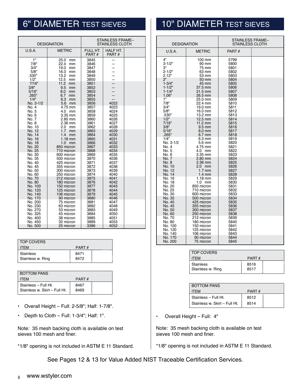| <b>DESIGNATION</b>                                                        |                                                                                         |                                                      | <b>STAINLESS FRAME-</b><br><b>STAINLESS CLOTH</b>    |  |
|---------------------------------------------------------------------------|-----------------------------------------------------------------------------------------|------------------------------------------------------|------------------------------------------------------|--|
| U.S.A.                                                                    | <b>METRIC</b>                                                                           | FULL HT.<br>PART#                                    | HALF HT.<br>PART#                                    |  |
| 1"<br>7/8"<br>3/4"<br>5/8"<br>.530"<br>1/2"                               | 25.0<br>mm<br>22.4<br>mm<br>19.0<br>mm<br>16.0<br>mm<br>13.2<br>mm<br>12.5<br>mm        | 3845<br>3846<br>3847<br>3848<br>3849<br>3850         | $\overline{\phantom{0}}$                             |  |
| 7/16"<br>3/8"<br>5/16"<br>.265"<br>1/4"<br>No. 3-1/2                      | 11.2<br>mm<br>9.5<br>mm<br>8.0<br>mm<br>6.7<br>mm<br>6.3<br>mm<br>5.6<br>mm             | 3851<br>3852<br>3853<br>3854<br>3855<br>3856         | $\overline{a}$<br>4022                               |  |
| No. 4<br>No. 5<br>No. 6<br>No. 7<br>No. 8<br>No. 10                       | 4.75 mm<br>4.0 mm<br>3.35 mm<br>2.80 mm<br>2.36 mm<br>2.0<br>mm                         | 3857<br>3858<br>3859<br>3860<br>3861<br>3862         | 4023<br>4024<br>4025<br>4026<br>4027<br>4028         |  |
| No. 12<br>No. 14<br>No. 16<br>No. 18<br>No. 20<br>No. 25                  | 1.7<br>mm<br>1.4<br>mm<br>$1.18$ mm<br>$1.0$ mm<br>850 micron<br>710 micron             | 3863<br>3864<br>3865<br>3866<br>3867<br>3868         | 4029<br>4030<br>4031<br>4032<br>4033<br>4034         |  |
| No. 30<br>No. 35<br>No. 40<br>No. 45<br>No. 50<br>No. 60                  | 600 micron<br>500 micron<br>425 micron<br>355 micron<br>300 micron<br>250 micron        | 3869<br>3870<br>3871<br>3872<br>3873<br>3874         | 4035<br>4036<br>4037<br>4038<br>4039<br>4040         |  |
| No. 70<br>No. 80<br>No. 100<br>No. 120<br>No. 140<br>No. 170              | 212 micron<br>180 micron<br>150 micron<br>125 micron<br>106 micron<br>90 micron         | 3875<br>3876<br>3877<br>3878<br>3879<br>3880         | 4041<br>4042<br>4043<br>4044<br>4045<br>4046         |  |
| No. 200<br>No. 230<br>No. 270<br>No. 325<br>No. 400<br>No. 450<br>No. 500 | 75 micron<br>63 micron<br>53 micron<br>45 micron<br>38 micron<br>32 micron<br>25 micron | 3881<br>3882<br>3883<br>3884<br>3885<br>3889<br>3386 | 4047<br>4048<br>4049<br>4050<br>4051<br>4053<br>4052 |  |

| <b>TOP COVERS</b> |       |  | 11 J. 17 U<br>No. 200 | <b>UU IIIIUIUII</b><br>75 micron |  |
|-------------------|-------|--|-----------------------|----------------------------------|--|
| <b>ITEM</b>       | PART# |  |                       |                                  |  |
| Stainless         | 8471  |  |                       | TOP COVERS                       |  |
| Stainless w. Ring | 8472  |  |                       | <b>ITEM</b>                      |  |
|                   |       |  |                       | ---                              |  |

| <b>BOTTOM PANS</b>                                    |              |  |
|-------------------------------------------------------|--------------|--|
| <b>ITFM</b>                                           | PART#        |  |
| Stainless - Full Ht.<br>Stainless w. Skirt - Full Ht. | 8467<br>8469 |  |

- Overall Height Full: 2-5/8"; Half: 1-7/8".
- Depth to Cloth Full: 1-3/4"; Half: 1".  $\vert \cdot \vert$  Overall Height Full: 4"

Note: 35 mesh backing cloth is available on test sieves 100 mesh and finer.

\*1/8" opening is not included in ASTM E 11 Standard.

6" DIAMETER TEST SIEVES 10" DIAMETER TEST SIEVES

| <b>DESIGNATION</b> |                   | STAINLESS FRAME-<br><b>STAINLESS CLOTH</b> |  |
|--------------------|-------------------|--------------------------------------------|--|
| U.S.A.             | <b>METRIC</b>     | PART#                                      |  |
| 4"                 | 100 mm            | 5799                                       |  |
| $3 - 1/2"$         | 90 mm             | 5800                                       |  |
| 3"                 | 75 mm             | 5801                                       |  |
| $2 - 1/2"$         | 63 mm             | 5802                                       |  |
| 2.12"              | 53 mm             | 5803                                       |  |
| 2 <sup>n</sup>     | 50 mm             | 5804                                       |  |
| $1 - 3/4"$         | 45 mm             | 5805                                       |  |
| $1 - 1/2"$         | 37.5 mm           | 5806                                       |  |
| $1 - 1/4"$         | 31.5 mm           | 5807                                       |  |
| 1.06"              | 26.5 mm           | 5808                                       |  |
| 1"                 | 25.0 mm           | 5809                                       |  |
| 7/8"               | 22.4 mm           | 5810                                       |  |
| 3/4"               | 19.0 mm           | 5811                                       |  |
| 5/8"               | 16.0 mm           | 5812                                       |  |
| .530"              | 13.2 mm           | 5813                                       |  |
| 1/2"               | 12.5 mm           | 5814                                       |  |
| 7/16"              | $11.2 \text{ mm}$ | 5815                                       |  |
| 3/8"               | $9.5 \text{ mm}$  | 5816                                       |  |
| 5/16"              | 8.0 mm            | 5817                                       |  |
| .265"              | $6.7$ mm          | 5818                                       |  |
| 1/4"               | $6.3 \text{ mm}$  | 5819                                       |  |
| No. 3-1/2          | 5.6 mm            | 5820                                       |  |
| No. 4              | 4.75 mm           | 5821                                       |  |
| No. 5              | 4.0 mm            | 5822                                       |  |
| No. 6              | 3.35 mm           | 5823                                       |  |
| No. 7              | 2.80 mm           | 5824                                       |  |
| No. 8              | 2.36 mm           | 5825                                       |  |
| No. 10             | 2.0 mm            | 5826                                       |  |
| No. 12             | $1.7 \text{ mm}$  | 5827                                       |  |
| No. 14             | $1.4 \text{ mm}$  | 5828                                       |  |
| No. 16             | $1.18$ mm         | 5829                                       |  |
| No. 18             | $1.0$ mm          | 5830                                       |  |
| No. 20             | 850 micron        | 5831                                       |  |
| No. 25             | 710 micron        | 5832                                       |  |
| No. 30             | 600 micron        | 5833                                       |  |
| No. 35             | 500 micron        | 5834                                       |  |
| No. 40             | 425 micron        | 5835                                       |  |
| No. 45             | 355 micron        | 5836                                       |  |
| No. 50             | 300 micron        | 5837                                       |  |
| No. 60             | 250 micron        | 5838                                       |  |
| No. 70             | 212 micron        | 5839                                       |  |
| No. 80             | 180 micron        | 5840                                       |  |
| No. 100            | 150 micron        | 5841                                       |  |
| No. 120            | 125 micron        | 5842                                       |  |
| No. 140            | 106 micron        | 5843                                       |  |
| No. 170            | 90 micron         | 5844                                       |  |
| No. 200            | 75 micron         | 5845                                       |  |

| <b>I TOP COVERS</b>            |              |  |
|--------------------------------|--------------|--|
| <b>ITFM</b>                    | PART#        |  |
| Stainless<br>Stainless w. Ring | 8516<br>8517 |  |

| PART# |  |
|-------|--|
| 8512  |  |
| 8514  |  |
|       |  |

Note: 35 mesh backing cloth is available on test sieves 100 mesh and finer.

\*1/8" opening is not included in ASTM E 11 Standard.

See Pages 12 & 13 for Value Added NIST Traceable Certification Services.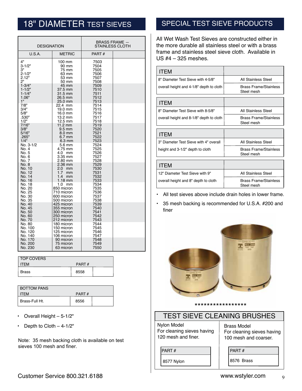| <b>DESIGNATION</b>                                 |                                                           | <b>BRASS FRAME -</b><br><b>STAINLESS CLOTH</b> |  |
|----------------------------------------------------|-----------------------------------------------------------|------------------------------------------------|--|
| U.S.A.                                             | <b>METRIC</b>                                             | PART#                                          |  |
| 4"                                                 | 100 mm                                                    | 7503                                           |  |
| $3 - 1/2"$                                         | 90 mm                                                     | 7504                                           |  |
| З"                                                 | 75 mm                                                     | 7505                                           |  |
| $2 - 1/2"$                                         | 63 mm                                                     | 7506                                           |  |
| 2.12"                                              | 53 mm                                                     | 7507                                           |  |
| ייפ                                                | 50 mm                                                     | 7508                                           |  |
| $1 - 3/4"$                                         | 45 mm                                                     | 7509                                           |  |
| $1 - 1/2"$                                         | 37.5 mm                                                   | 7510                                           |  |
| $1 - 1/4"$                                         | 31.5 mm                                                   | 7511                                           |  |
| 1.06"                                              | 26.5 mm                                                   | 7512                                           |  |
| 1"                                                 | 25.0 mm                                                   | 7513                                           |  |
| 7/8"                                               | 22.4 mm                                                   | 7514                                           |  |
| 3/4"                                               | 19.0 mm                                                   | 7515                                           |  |
| 5/8"                                               | 16.0 mm                                                   | 7516                                           |  |
| .530"                                              | 13.2 mm                                                   | 7517                                           |  |
| 1/2"                                               | 12.5 mm                                                   | 7518                                           |  |
| 7/16"                                              | $11.2 \text{ mm}$                                         | 7519                                           |  |
| 3/8"                                               | $9.5 \text{ mm}$                                          | 7520                                           |  |
| 5/16"                                              | 8.0 mm                                                    | 7521                                           |  |
| .265"                                              | 6.7 mm                                                    | 7522                                           |  |
| 1/4"                                               | $6.3 \text{ mm}$                                          | 7523                                           |  |
| No. 3-1/2                                          | 5.6 mm                                                    | 7524                                           |  |
| No. 4                                              | 4.75 mm                                                   | 7525                                           |  |
| No. 5                                              | 4.0 mm                                                    | 7526                                           |  |
| No. 6                                              | 3.35 mm                                                   | 7527                                           |  |
| No. 7                                              | 2.80 mm                                                   | 7528                                           |  |
| No. 8<br>No. 10<br>No. 12<br>No. 14<br>No. 16      | 2.36 mm<br>$2.0$ mm<br>1.7<br>mm<br>$1.4$ mm<br>$1.18$ mm | 7529<br>7530<br>7531<br>7532<br>7533           |  |
| No. 18                                             | $1.0$ mm                                                  | 7534                                           |  |
| No. 20                                             | 850 micron                                                | 7535                                           |  |
| No. 25                                             | 710 micron                                                | 7536                                           |  |
| No. 30                                             | 600 micron                                                | 7537                                           |  |
| No. 35                                             | 500 micron                                                | 7538                                           |  |
| No. 40                                             | 425 micron                                                | 7539                                           |  |
| No. 45                                             | 355 micron                                                | 7540                                           |  |
| No. 50                                             | 300 micron                                                | 7541                                           |  |
| No. 60                                             | 250 micron                                                | 7542                                           |  |
| No. 70                                             | 212 micron                                                | 7543                                           |  |
| No. 80<br>No. 100<br>No. 120<br>No. 140<br>No. 170 | 180 micron<br>150 micron<br>125 micron<br>106 micron      | 7544<br>7545<br>7546<br>7547                   |  |
| No. 200<br>No. 230                                 | 90 micron<br>75 micron<br>63 micron                       | 7548<br>7549<br>7550                           |  |

| <b>TOP COVERS</b> |       |  |
|-------------------|-------|--|
| <b>ITEM</b>       | PART# |  |
| <b>Brass</b>      | 8558  |  |

| <b>BOTTOM PANS</b> |       |  |
|--------------------|-------|--|
| <b>ITFM</b>        | PART# |  |
| Brass-Full Ht.     | 8556  |  |

- Overall Height 5-1/2"
- Depth to  $C$ loth  $-4-1/2"$

Note: 35 mesh backing cloth is available on test sieves 100 mesh and finer.

#### SPECIAL TEST SIEVE PRODUCTS

All Wet Wash Test Sieves are constructed either in the more durable all stainless steel or with a brass frame and stainless steel sieve cloth. Available in US #4 – 325 meshes.

| ITEM                                     |                                            |
|------------------------------------------|--------------------------------------------|
| 8" Diameter Test Sieve with 4-5/8"       | <b>All Stainless Steel</b>                 |
| overall height and 4-1/8" depth to cloth | <b>Brass Frame/Stainless</b><br>Steel mesh |
| ITEM                                     |                                            |
| 8" Diameter Test Sieve with 8-5/8"       | All Stainless Steel                        |
| overall height and 8-1/8" depth to cloth | <b>Brass Frame/Stainless</b><br>Steel mesh |
| ITEM                                     |                                            |
| 3" Diameter Test Sieve with 4" overall   | All Stainless Steel                        |
| height and 3-1/2" depth to cloth         | <b>Brass Frame/Stainless</b><br>Steel mesh |
| ITEM                                     |                                            |
|                                          |                                            |
| 12" Diameter Test Sieve with 9"          | <b>All Stainless Steel</b>                 |
| overall height and 8" depth to cloth     | <b>Brass Frame/Stainless</b><br>Steel mesh |

- All test sieves above include drain holes in lower frame.
- 35 mesh backing is recommended for U.S.A. #200 and finer



\*\*\*\*\*\*\*\*\*\*\*\*\*\*\*\*\*

| <b>TEST SIEVE CLEANING BRUSHES</b> |
|------------------------------------|
|------------------------------------|

Nylon Model For cleaning sieves having 120 mesh and finer.

PART #

Brass Model For cleaning sieves having 100 mesh and coarser.

PART #

8577 Nylon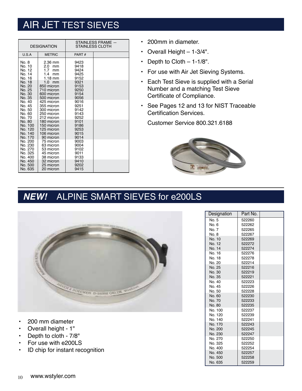# AIR JET TEST SIEVES

|                                                                                                                                                   | <b>DESIGNATION</b>                                                                                                                                                                                    |                                                                                                                      | STAINLESS FRAME -<br><b>STAINLESS CLOTH</b> |
|---------------------------------------------------------------------------------------------------------------------------------------------------|-------------------------------------------------------------------------------------------------------------------------------------------------------------------------------------------------------|----------------------------------------------------------------------------------------------------------------------|---------------------------------------------|
| U.S.A                                                                                                                                             | <b>METRIC</b>                                                                                                                                                                                         | PART#                                                                                                                |                                             |
| No. 8<br>No. 10<br>No. 12<br>No. 14<br>No. 16<br>No. 18<br>No. 20<br>No. 25<br>No. 30<br>No. 35<br>No. 40<br>No. 45<br>No. 50<br>No. 60<br>No. 70 | 2.36 mm<br>2.0<br>mm<br>1.7<br>mm<br>1.4<br>mm<br>$1.18$ mm<br>$1.0$ mm<br>850 micron<br>710 micron<br>600 micron<br>500 micron<br>425 micron<br>355 micron<br>300 micron<br>250 micron<br>212 micron | 9423<br>9418<br>9424<br>9425<br>9152<br>9321<br>9153<br>9250<br>9154<br>9056<br>9016<br>9251<br>9142<br>9143<br>9252 |                                             |
| No. 80<br>No. 100<br>No. 120<br>No. 140<br>No. 170<br>No. 200<br>No. 230<br>No. 270<br>No. 325<br>No. 400<br>No. 450<br>No. 500                   | 180 micron<br>150 micron<br>125 micron<br>106 micron<br>90 micron<br>75 micron<br>63 micron<br>53 micron<br>45 micron<br>38 micron<br>32 micron<br>25 micron                                          | 9101<br>9186<br>9253<br>9015<br>9014<br>9003<br>9004<br>9102<br>9011<br>9133<br>9410<br>9202                         |                                             |

- 200mm in diameter.
- Overall Height 1-3/4".
- Depth to Cloth  $-1-1/8$ ".
- For use with Air Jet Sieving Systems.
- Each Test Sieve is supplied with a Serial Number and a matching Test Sieve Certificate of Compliance.
- See Pages 12 and 13 for NIST Traceable Certification Services.

Customer Service 800.321.6188



#### *NEW!*ALPINE SMART SIEVES for e200LS



Designation | Part No. No. 5 522260<br>No. 6 522262 No. 6 522262<br>No. 7 522265 522265 No. 8 522267<br>No. 10 522269 No. 10<br>No. 12 522272 No. 14 522274<br>No. 16 522276 No. 16<br>No. 18 No. 18 522278<br>No. 20 522214 No. 20 522214<br>No. 25 522216 No. 25 522216<br>No. 30 522219 No. 30 522219<br>No. 35 522221 No. 35 522221<br>No. 40 522223 522223 No. 45 522226<br>No. 50 522228 No. 50<br>No. 60 No. 60 522230<br>No. 70 522233 No. 70 522233<br>No. 80 522235 522235<br>522237 No. 100 No. 120 522239<br>No. 140 522241 No. 140 522241<br>No. 170 522243 No. 170 No. 200 522245<br>No. 230 522247 No. 230<br>No. 270 522250<br>522252 No. 325 522252<br>No. 400 522254 No. 400 No. 450 522257<br>No. 500 522258 No. 500 522258<br>No. 635 522259 No. 635

- 200 mm diameter
- Overall height 1"
- Depth to cloth 7/8"
- For use with e200LS
- ID chip for instant recognition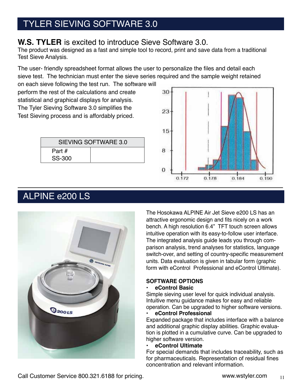# TYLER SIEVING SOFTWARE 3.0

#### **W.S. TYLER** is excited to introduce Sieve Software 3.0.

The product was designed as a fast and simple tool to record, print and save data from a traditional Test Sieve Analysis.

The user- friendly spreadsheet format allows the user to personalize the files and detail each sieve test. The technician must enter the sieve series required and the sample weight retained

on each sieve following the test run. The software will perform the rest of the calculations and create statistical and graphical displays for analysis. The Tyler Sieving Software 3.0 simplifies the Test Sieving process and is affordably priced.

| SIEVING SOFTWARE 3.0 |  |  |
|----------------------|--|--|
| Part #               |  |  |
| SS-300               |  |  |



# ALPINE e200 LS



The Hosokawa ALPINE Air Jet Sieve e200 LS has an attractive ergonomic design and fits nicely on a work bench. A high resolution 6.4" TFT touch screen allows intuitive operation with its easy-to-follow user interface. The integrated analysis guide leads you through comparison analysis, trend analyses for statistics, language switch-over, and setting of country-specific measurement units. Data evaluation is given in tabular form (graphic form with eControl Professional and eControl Ultimate).

#### **SOFTWARE OPTIONS**

#### **• eControl Basic**

Simple sieving user level for quick individual analysis. Intuitive menu guidance makes for easy and reliable operation. Can be upgraded to higher software versions.

#### **• eControl Professional**

Expanded package that includes interface with a balance and additional graphic display abilities. Graphic evaluation is plotted in a cumulative curve. Can be upgraded to higher software version.

#### **• eControl Ultimate**

For special demands that includes traceability, such as for pharmaceuticals. Representation of residual fines concentration and relevant information.

Call Customer Service 800.321.6188 for pricing. www.wstyler.com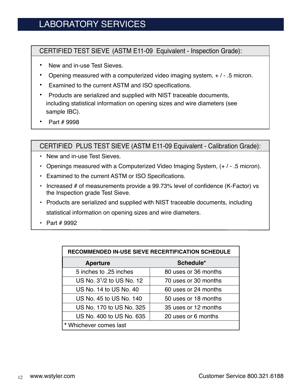# LABORATORY SERVICES

#### CERTIFIED TEST SIEVE (ASTM E11-09 Equivalent - Inspection Grade):

- New and in-use Test Sieves.
- Opening measured with a computerized video imaging system, + / .5 micron.
- Examined to the current ASTM and ISO specifications.
- Products are serialized and supplied with NIST traceable documents, including statistical information on opening sizes and wire diameters (see sample IBC).
- Part # 9998

#### CERTIFIED PLUS TEST SIEVE (ASTM E11-09 Equivalent - Calibration Grade):

- New and in-use Test Sieves.
- Openings measured with a Computerized Video Imaging System, (+ / .5 micron).
- Examined to the current ASTM or ISO Specifications.
- Increased # of measurements provide a 99.73% level of confidence (K-Factor) vs the Inspection grade Test Sieve.
- Products are serialized and supplied with NIST traceable documents, including statistical information on opening sizes and wire diameters.
- Part # 9992

| <b>RECOMMENDED IN-USE SIEVE RECERTIFICATION SCHEDULE</b> |                      |  |  |
|----------------------------------------------------------|----------------------|--|--|
| <b>Aperture</b>                                          | Schedule*            |  |  |
| 5 inches to .25 inches                                   | 80 uses or 36 months |  |  |
| US No. 3 <sup>1</sup> /2 to US No. 12                    | 70 uses or 30 months |  |  |
| US No. 14 to US No. 40                                   | 60 uses or 24 months |  |  |
| US No. 45 to US No. 140                                  | 50 uses or 18 months |  |  |
| US No. 170 to US No. 325                                 | 35 uses or 12 months |  |  |
| US No. 400 to US No. 635                                 | 20 uses or 6 months  |  |  |
| * Whichever comes last                                   |                      |  |  |